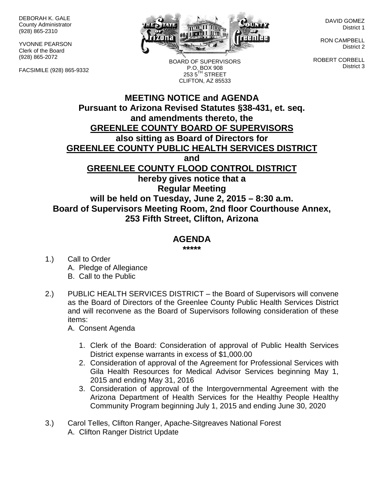DEBORAH K. GALE County Administrator (928) 865-2310

YVONNE PEARSON Clerk of the Board (928) 865-2072

FACSIMILE (928) 865-9332



BOARD OF SUPERVISORS P.O. BOX 908  $2535^{\text{TH}}$  STREET CLIFTON, AZ 85533

DAVID GOMEZ District 1

RON CAMPBELL District 2

ROBERT CORBELL District 3

## **MEETING NOTICE and AGENDA Pursuant to Arizona Revised Statutes §38-431, et. seq. and amendments thereto, the GREENLEE COUNTY BOARD OF SUPERVISORS also sitting as Board of Directors for GREENLEE COUNTY PUBLIC HEALTH SERVICES DISTRICT and GREENLEE COUNTY FLOOD CONTROL DISTRICT hereby gives notice that a Regular Meeting will be held on Tuesday, June 2, 2015 – 8:30 a.m. Board of Supervisors Meeting Room, 2nd floor Courthouse Annex, 253 Fifth Street, Clifton, Arizona**

## **AGENDA**

**\*\*\*\*\***

- 1.) Call to Order A. Pledge of Allegiance B. Call to the Public
- 2.) PUBLIC HEALTH SERVICES DISTRICT the Board of Supervisors will convene as the Board of Directors of the Greenlee County Public Health Services District and will reconvene as the Board of Supervisors following consideration of these items:

A. Consent Agenda

- 1. Clerk of the Board: Consideration of approval of Public Health Services District expense warrants in excess of \$1,000.00
- 2. Consideration of approval of the Agreement for Professional Services with Gila Health Resources for Medical Advisor Services beginning May 1, 2015 and ending May 31, 2016
- 3. Consideration of approval of the Intergovernmental Agreement with the Arizona Department of Health Services for the Healthy People Healthy Community Program beginning July 1, 2015 and ending June 30, 2020
- 3.) Carol Telles, Clifton Ranger, Apache-Sitgreaves National Forest A. Clifton Ranger District Update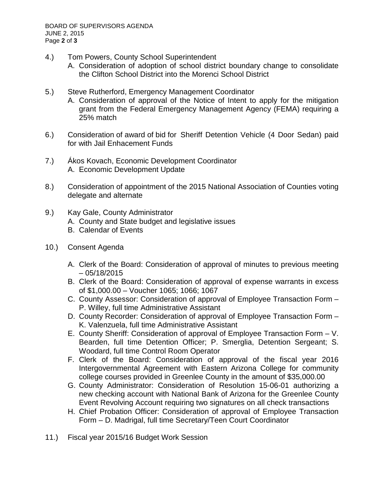- 4.) Tom Powers, County School Superintendent
	- A. Consideration of adoption of school district boundary change to consolidate the Clifton School District into the Morenci School District
- 5.) Steve Rutherford, Emergency Management Coordinator
	- A. Consideration of approval of the Notice of Intent to apply for the mitigation grant from the Federal Emergency Management Agency (FEMA) requiring a 25% match
- 6.) Consideration of award of bid for Sheriff Detention Vehicle (4 Door Sedan) paid for with Jail Enhacement Funds
- 7.) Ákos Kovach, Economic Development Coordinator A. Economic Development Update
- 8.) Consideration of appointment of the 2015 National Association of Counties voting delegate and alternate
- 9.) Kay Gale, County Administrator
	- A. County and State budget and legislative issues
	- B. Calendar of Events
- 10.) Consent Agenda
	- A. Clerk of the Board: Consideration of approval of minutes to previous meeting  $-05/18/2015$
	- B. Clerk of the Board: Consideration of approval of expense warrants in excess of \$1,000.00 – Voucher 1065; 1066; 1067
	- C. County Assessor: Consideration of approval of Employee Transaction Form P. Willey, full time Administrative Assistant
	- D. County Recorder: Consideration of approval of Employee Transaction Form K. Valenzuela, full time Administrative Assistant
	- E. County Sheriff: Consideration of approval of Employee Transaction Form V. Bearden, full time Detention Officer; P. Smerglia, Detention Sergeant; S. Woodard, full time Control Room Operator
	- F. Clerk of the Board: Consideration of approval of the fiscal year 2016 Intergovernmental Agreement with Eastern Arizona College for community college courses provided in Greenlee County in the amount of \$35,000.00
	- G. County Administrator: Consideration of Resolution 15-06-01 authorizing a new checking account with National Bank of Arizona for the Greenlee County Event Revolving Account requiring two signatures on all check transactions
	- H. Chief Probation Officer: Consideration of approval of Employee Transaction Form – D. Madrigal, full time Secretary/Teen Court Coordinator
- 11.) Fiscal year 2015/16 Budget Work Session